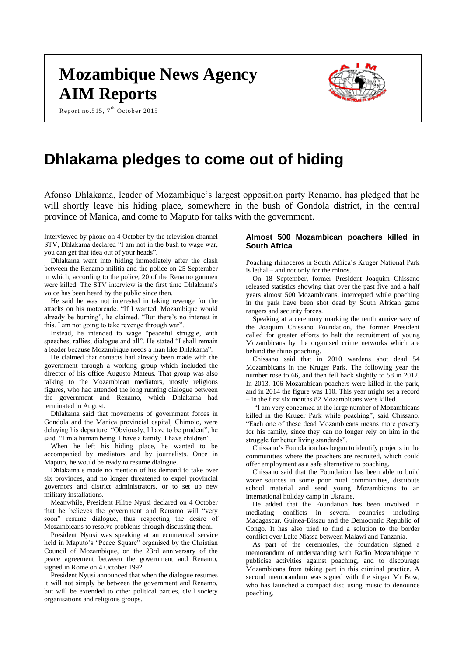# **Mozambique News Agency AIM Reports**

Report no.515,  $7^{\text{th}}$  October 2015



# **Dhlakama pledges to come out of hiding**

Afonso Dhlakama, leader of Mozambique's largest opposition party Renamo, has pledged that he will shortly leave his hiding place, somewhere in the bush of Gondola district, in the central province of Manica, and come to Maputo for talks with the government.

Interviewed by phone on 4 October by the television channel STV, Dhlakama declared "I am not in the bush to wage war, you can get that idea out of your heads".

Dhlakama went into hiding immediately after the clash between the Renamo militia and the police on 25 September in which, according to the police, 20 of the Renamo gunmen were killed. The STV interview is the first time Dhlakama's voice has been heard by the public since then.

He said he was not interested in taking revenge for the attacks on his motorcade. "If I wanted, Mozambique would already be burning", he claimed. "But there's no interest in this. I am not going to take revenge through war".

Instead, he intended to wage "peaceful struggle, with speeches, rallies, dialogue and all". He stated "I shall remain a leader because Mozambique needs a man like Dhlakama".

He claimed that contacts had already been made with the government through a working group which included the director of his office Augusto Mateus. That group was also talking to the Mozambican mediators, mostly religious figures, who had attended the long running dialogue between the government and Renamo, which Dhlakama had terminated in August.

Dhlakama said that movements of government forces in Gondola and the Manica provincial capital, Chimoio, were delaying his departure. "Obviously, I have to be prudent", he said. "I'm a human being. I have a family. I have children".

When he left his hiding place, he wanted to be accompanied by mediators and by journalists. Once in Maputo, he would be ready to resume dialogue.

Dhlakama's made no mention of his demand to take over six provinces, and no longer threatened to expel provincial governors and district administrators, or to set up new military installations.

Meanwhile, President Filipe Nyusi declared on 4 October that he believes the government and Renamo will "very soon" resume dialogue, thus respecting the desire of Mozambicans to resolve problems through discussing them.

President Nyusi was speaking at an ecumenical service held in Maputo's "Peace Square" organised by the Christian Council of Mozambique, on the 23rd anniversary of the peace agreement between the government and Renamo, signed in Rome on 4 October 1992.

President Nyusi announced that when the dialogue resumes it will not simply be between the government and Renamo, but will be extended to other political parties, civil society organisations and religious groups.

# **Almost 500 Mozambican poachers killed in South Africa**

Poaching rhinoceros in South Africa's Kruger National Park is lethal – and not only for the rhinos.

On 18 September, former President Joaquim Chissano released statistics showing that over the past five and a half years almost 500 Mozambicans, intercepted while poaching in the park have been shot dead by South African game rangers and security forces.

Speaking at a ceremony marking the tenth anniversary of the Joaquim Chissano Foundation, the former President called for greater efforts to halt the recruitment of young Mozambicans by the organised crime networks which are behind the rhino poaching.

Chissano said that in 2010 wardens shot dead 54 Mozambicans in the Kruger Park. The following year the number rose to 66, and then fell back slightly to 58 in 2012. In 2013, 106 Mozambican poachers were killed in the park, and in 2014 the figure was 110. This year might set a record – in the first six months 82 Mozambicans were killed.

"I am very concerned at the large number of Mozambicans killed in the Kruger Park while poaching", said Chissano. "Each one of these dead Mozambicans means more poverty for his family, since they can no longer rely on him in the struggle for better living standards".

Chissano's Foundation has begun to identify projects in the communities where the poachers are recruited, which could offer employment as a safe alternative to poaching.

Chissano said that the Foundation has been able to build water sources in some poor rural communities, distribute school material and send young Mozambicans to an international holiday camp in Ukraine.

He added that the Foundation has been involved in mediating conflicts in several countries including Madagascar, Guinea-Bissau and the Democratic Republic of Congo. It has also tried to find a solution to the border conflict over Lake Niassa between Malawi and Tanzania.

As part of the ceremonies, the foundation signed a memorandum of understanding with Radio Mozambique to publicise activities against poaching, and to discourage Mozambicans from taking part in this criminal practice. A second memorandum was signed with the singer Mr Bow, who has launched a compact disc using music to denounce poaching.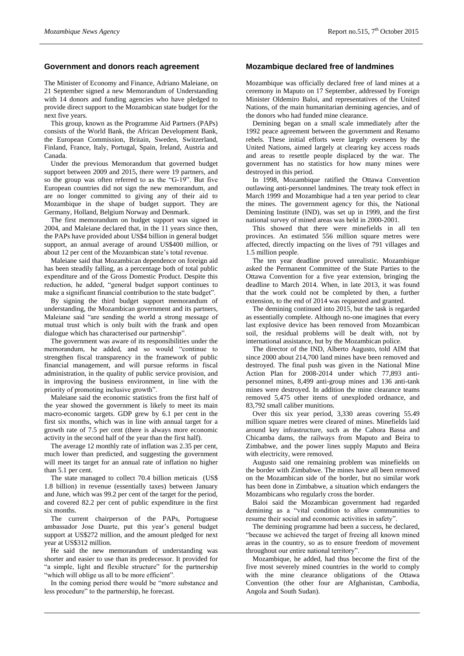#### **Government and donors reach agreement**

The Minister of Economy and Finance, Adriano Maleiane, on 21 September signed a new Memorandum of Understanding with 14 donors and funding agencies who have pledged to provide direct support to the Mozambican state budget for the next five years.

This group, known as the Programme Aid Partners (PAPs) consists of the World Bank, the African Development Bank, the European Commission, Britain, Sweden, Switzerland, Finland, France, Italy, Portugal, Spain, Ireland, Austria and Canada.

Under the previous Memorandum that governed budget support between 2009 and 2015, there were 19 partners, and so the group was often referred to as the "G-19". But five European countries did not sign the new memorandum, and are no longer committed to giving any of their aid to Mozambique in the shape of budget support. They are Germany, Holland, Belgium Norway and Denmark.

The first memorandum on budget support was signed in 2004, and Maleiane declared that, in the 11 years since then, the PAPs have provided about US\$4 billion in general budget support, an annual average of around US\$400 million, or about 12 per cent of the Mozambican state's total revenue.

Maleiane said that Mozambican dependence on foreign aid has been steadily falling, as a percentage both of total public expenditure and of the Gross Domestic Product. Despite this reduction, he added, "general budget support continues to make a significant financial contribution to the state budget".

By signing the third budget support memorandum of understanding, the Mozambican government and its partners, Maleiane said "are sending the world a strong message of mutual trust which is only built with the frank and open dialogue which has characterised our partnership".

The government was aware of its responsibilities under the memorandum, he added, and so would "continue to strengthen fiscal transparency in the framework of public financial management, and will pursue reforms in fiscal administration, in the quality of public service provision, and in improving the business environment, in line with the priority of promoting inclusive growth".

Maleiane said the economic statistics from the first half of the year showed the government is likely to meet its main macro-economic targets. GDP grew by 6.1 per cent in the first six months, which was in line with annual target for a growth rate of 7.5 per cent (there is always more economic activity in the second half of the year than the first half).

The average 12 monthly rate of inflation was 2.35 per cent, much lower than predicted, and suggesting the government will meet its target for an annual rate of inflation no higher than 5.1 per cent.

The state managed to collect 70.4 billion meticais (US\$ 1.8 billion) in revenue (essentially taxes) between January and June, which was 99.2 per cent of the target for the period, and covered 82.2 per cent of public expenditure in the first six months.

The current chairperson of the PAPs, Portuguese ambassador Jose Duarte, put this year's general budget support at US\$272 million, and the amount pledged for next year at US\$312 million.

He said the new memorandum of understanding was shorter and easier to use than its predecessor. It provided for "a simple, light and flexible structure" for the partnership "which will oblige us all to be more efficient".

In the coming period there would be "more substance and less procedure" to the partnership, he forecast.

#### **Mozambique declared free of landmines**

Mozambique was officially declared free of land mines at a ceremony in Maputo on 17 September, addressed by Foreign Minister Oldemiro Baloi, and representatives of the United Nations, of the main humanitarian demining agencies, and of the donors who had funded mine clearance.

Demining began on a small scale immediately after the 1992 peace agreement between the government and Renamo rebels*.* These initial efforts were largely overseen by the United Nations, aimed largely at clearing key access roads and areas to resettle people displaced by the war. The government has no statistics for how many mines were destroyed in this period.

In 1998, Mozambique ratified the Ottawa Convention outlawing anti-personnel landmines. The treaty took effect in March 1999 and Mozambique had a ten year period to clear the mines. The government agency for this, the National Demining Institute (IND), was set up in 1999, and the first national survey of mined areas was held in 2000-2001.

This showed that there were minefields in all ten provinces. An estimated 556 million square metres were affected, directly impacting on the lives of 791 villages and 1.5 million people.

The ten year deadline proved unrealistic. Mozambique asked the Permanent Committee of the State Parties to the Ottawa Convention for a five year extension, bringing the deadline to March 2014. When, in late 2013, it was found that the work could not be completed by then, a further extension, to the end of 2014 was requested and granted.

The demining continued into 2015, but the task is regarded as essentially complete. Although no-one imagines that every last explosive device has been removed from Mozambican soil, the residual problems will be dealt with, not by international assistance, but by the Mozambican police.

The director of the IND, Alberto Augusto, told AIM that since 2000 about 214,700 land mines have been removed and destroyed. The final push was given in the National Mine Action Plan for 2008-2014 under which 77,893 antipersonnel mines, 8,499 anti-group mines and 136 anti-tank mines were destroyed. In addition the mine clearance teams removed 5,475 other items of unexploded ordnance, and 83,792 small caliber munitions.

Over this six year period, 3,330 areas covering 55.49 million square metres were cleared of mines. Minefields laid around key infrastructure, such as the Cahora Bassa and Chicamba dams, the railways from Maputo and Beira to Zimbabwe, and the power lines supply Maputo and Beira with electricity, were removed.

Augusto said one remaining problem was minefields on the border with Zimbabwe. The mines have all been removed on the Mozambican side of the border, but no similar work has been done in Zimbabwe, a situation which endangers the Mozambicans who regularly cross the border.

Baloi said the Mozambican government had regarded demining as a "vital condition to allow communities to resume their social and economic activities in safety".

The demining programme had been a success, he declared, "because we achieved the target of freeing all known mined areas in the country, so as to ensure freedom of movement throughout our entire national territory".

Mozambique, he added, had thus become the first of the five most severely mined countries in the world to comply with the mine clearance obligations of the Ottawa Convention (the other four are Afghanistan, Cambodia, Angola and South Sudan).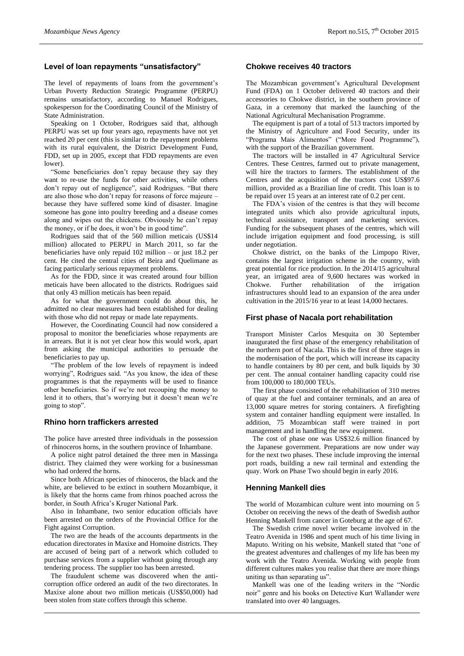# **Level of loan repayments "unsatisfactory"**

The level of repayments of loans from the government's Urban Poverty Reduction Strategic Programme (PERPU) remains unsatisfactory, according to Manuel Rodrigues, spokesperson for the Coordinating Council of the Ministry of State Administration.

Speaking on 1 October, Rodrigues said that, although PERPU was set up four years ago, repayments have not yet reached 20 per cent (this is similar to the repayment problems with its rural equivalent, the District Development Fund, FDD, set up in 2005, except that FDD repayments are even lower).

"Some beneficiaries don't repay because they say they want to re-use the funds for other activities, while others don't repay out of negligence", said Rodrigues. "But there are also those who don't repay for reasons of force majeure – because they have suffered some kind of disaster. Imagine someone has gone into poultry breeding and a disease comes along and wipes out the chickens. Obviously he can't repay the money, or if he does, it won't be in good time".

Rodrigues said that of the 560 million meticais (US\$14 million) allocated to PERPU in March 2011, so far the beneficiaries have only repaid 102 million – or just 18.2 per cent. He cited the central cities of Beira and Quelimane as facing particularly serious repayment problems.

As for the FDD, since it was created around four billion meticais have been allocated to the districts. Rodrigues said that only 43 million meticais has been repaid.

As for what the government could do about this, he admitted no clear measures had been established for dealing with those who did not repay or made late repayments.

However, the Coordinating Council had now considered a proposal to monitor the beneficiaries whose repayments are in arrears. But it is not yet clear how this would work, apart from asking the municipal authorities to persuade the beneficiaries to pay up.

"The problem of the low levels of repayment is indeed worrying", Rodrigues said. "As you know, the idea of these programmes is that the repayments will be used to finance other beneficiaries. So if we're not recouping the money to lend it to others, that's worrying but it doesn't mean we're going to stop".

# **Rhino horn traffickers arrested**

The police have arrested three individuals in the possession of rhinoceros horns, in the southern province of Inhambane.

A police night patrol detained the three men in Massinga district. They claimed they were working for a businessman who had ordered the horns.

Since both African species of rhinoceros, the black and the white, are believed to be extinct in southern Mozambique, it is likely that the horns came from rhinos poached across the border, in South Africa's Kruger National Park.

Also in Inhambane, two senior education officials have been arrested on the orders of the Provincial Office for the Fight against Corruption.

The two are the heads of the accounts departments in the education directorates in Maxixe and Homoine districts. They are accused of being part of a network which colluded to purchase services from a supplier without going through any tendering process. The supplier too has been arrested.

The fraudulent scheme was discovered when the anticorruption office ordered an audit of the two directorates. In Maxixe alone about two million meticais (US\$50,000) had been stolen from state coffers through this scheme.

#### **Chokwe receives 40 tractors**

The Mozambican government's Agricultural Development Fund (FDA) on 1 October delivered 40 tractors and their accessories to Chokwe district, in the southern province of Gaza, in a ceremony that marked the launching of the National Agricultural Mechanisation Programme.

The equipment is part of a total of 513 tractors imported by the Ministry of Agriculture and Food Security, under its "Programa Mais Alimentos" ("More Food Programme"), with the support of the Brazilian government.

The tractors will be installed in 47 Agricultural Service Centres. These Centres, farmed out to private management, will hire the tractors to farmers. The establishment of the Centres and the acquisition of the tractors cost US\$97.6 million, provided as a Brazilian line of credit. This loan is to be repaid over 15 years at an interest rate of 0.2 per cent.

The FDA's vision of the centres is that they will become integrated units which also provide agricultural inputs, technical assistance, transport and marketing services. Funding for the subsequent phases of the centres, which will include irrigation equipment and food processing, is still under negotiation.

Chokwe district, on the banks of the Limpopo River, contains the largest irrigation scheme in the country, with great potential for rice production. In the 2014/15 agricultural year, an irrigated area of 9,600 hectares was worked in Chokwe. Further rehabilitation of the irrigation infrastructures should lead to an expansion of the area under cultivation in the 2015/16 year to at least 14,000 hectares.

## **First phase of Nacala port rehabilitation**

Transport Minister Carlos Mesquita on 30 September inaugurated the first phase of the emergency rehabilitation of the northern port of Nacala. This is the first of three stages in the modernisation of the port, which will increase its capacity to handle containers by 80 per cent, and bulk liquids by 30 per cent. The annual container handling capacity could rise from 100,000 to 180,000 TEUs.

The first phase consisted of the rehabilitation of 310 metres of quay at the fuel and container terminals, and an area of 13,000 square metres for storing containers. A firefighting system and container handling equipment were installed. In addition, 75 Mozambican staff were trained in port management and in handling the new equipment.

The cost of phase one was US\$32.6 million financed by the Japanese government. Preparations are now under way for the next two phases. These include improving the internal port roads, building a new rail terminal and extending the quay. Work on Phase Two should begin in early 2016.

# **Henning Mankell dies**

The world of Mozambican culture went into mourning on 5 October on receiving the news of the death of Swedish author Henning Mankell from cancer in Goteburg at the age of 67.

The Swedish crime novel writer became involved in the Teatro Avenida in 1986 and spent much of his time living in Maputo. Writing on his website, Mankell stated that "one of the greatest adventures and challenges of my life has been my work with the Teatro Avenida. Working with people from different cultures makes you realise that there are more things uniting us than separating us".

Mankell was one of the leading writers in the "Nordic noir" genre and his books on Detective Kurt Wallander were translated into over 40 languages.